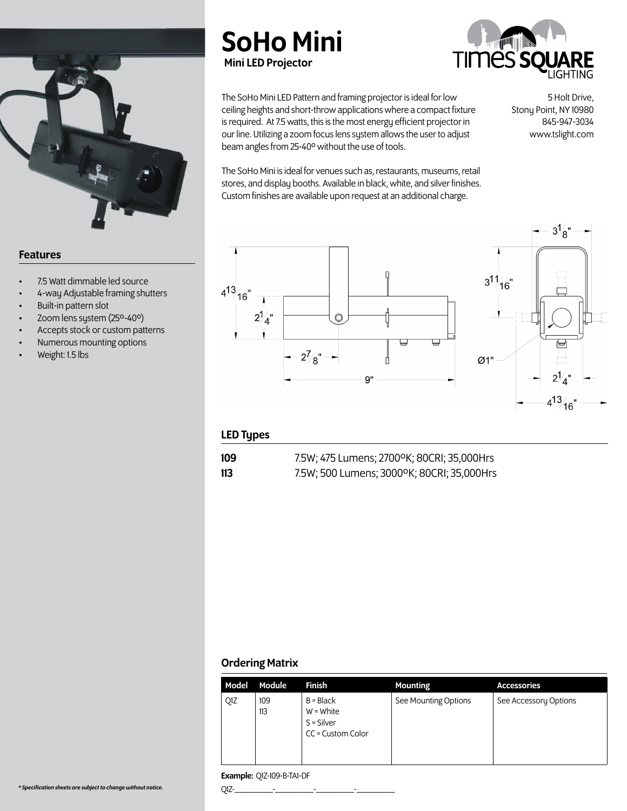

## Features

- 7.5 Watt dimmable led source
- 4-way Adjustable framing shutters
- Built-in pattern slot
- Zoom lens system (25º-40º)
- Accepts stock or custom patterns
- Numerous mounting options
- Weight: 1.5 lbs





The SoHo Mini LED Pattern and framing projector is ideal for low ceiling heights and short-throw applications where a compact fixture is required. At 7.5 watts, this is the most energy efficient projector in our line. Utilizing a zoom focus lens system allows the user to adjust beam angles from 25-40º without the use of tools.

5 Holt Drive, Stony Point, NY 10980 845-947-3034 www.tslight.com

The SoHo Mini is ideal for venues such as, restaurants, museums, retail stores, and display booths. Available in black, white, and silver finishes. Custom finishes are available upon request at an additional charge.



## LED Types

109 7.5W; 475 Lumens; 2700ºK; 80CRI; 35,000Hrs

113 7.5W; 500 Lumens; 3000ºK; 80CRI; 35,000Hrs

## Ordering Matrix

| Model | <b>Module</b> | <b>Finish</b>                                                   | <b>Mounting</b>      | <b>Accessories</b>    |
|-------|---------------|-----------------------------------------------------------------|----------------------|-----------------------|
| Q1Z   | 109<br>113    | $B = Black$<br>$W = White$<br>$S =$ Silver<br>CC = Custom Color | See Mounting Options | See Accessory Options |

### Example: Q1Z-109-B-TA1-DF

*\* Specification sheets are subject to change without notice.* Q1Z-\_\_\_\_\_\_\_\_\_-\_\_\_\_\_\_\_\_\_-\_\_\_\_\_\_\_\_\_-\_\_\_\_\_\_\_\_\_